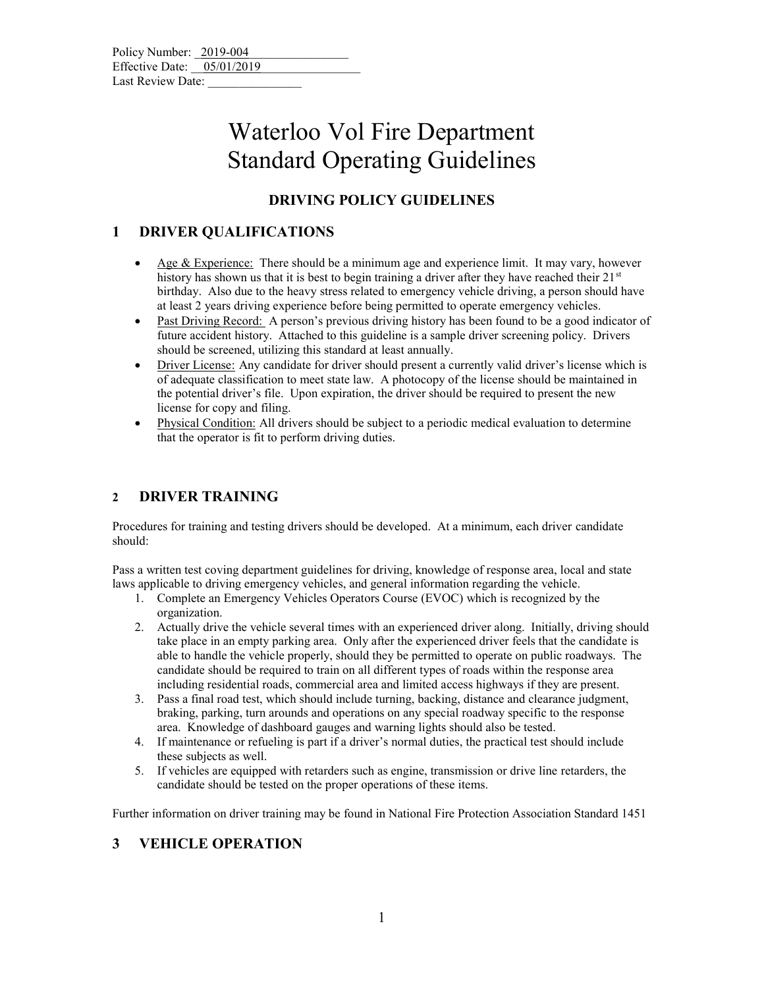| Policy Number: 2019-004      |  |
|------------------------------|--|
| Effective Date: $05/01/2019$ |  |
| Last Review Date:            |  |

### **DRIVING POLICY GUIDELINES**

#### **1 DRIVER QUALIFICATIONS**

- Age & Experience: There should be a minimum age and experience limit. It may vary, however history has shown us that it is best to begin training a driver after they have reached their  $21^{st}$ birthday. Also due to the heavy stress related to emergency vehicle driving, a person should have at least 2 years driving experience before being permitted to operate emergency vehicles.
- Past Driving Record: A person's previous driving history has been found to be a good indicator of future accident history. Attached to this guideline is a sample driver screening policy. Drivers should be screened, utilizing this standard at least annually.
- Driver License: Any candidate for driver should present a currently valid driver's license which is of adequate classification to meet state law. A photocopy of the license should be maintained in the potential driver's file. Upon expiration, the driver should be required to present the new license for copy and filing.
- Physical Condition: All drivers should be subject to a periodic medical evaluation to determine that the operator is fit to perform driving duties.

#### **2 DRIVER TRAINING**

Procedures for training and testing drivers should be developed. At a minimum, each driver candidate should:

Pass a written test coving department guidelines for driving, knowledge of response area, local and state laws applicable to driving emergency vehicles, and general information regarding the vehicle.

- 1. Complete an Emergency Vehicles Operators Course (EVOC) which is recognized by the organization.
- 2. Actually drive the vehicle several times with an experienced driver along. Initially, driving should take place in an empty parking area. Only after the experienced driver feels that the candidate is able to handle the vehicle properly, should they be permitted to operate on public roadways. The candidate should be required to train on all different types of roads within the response area including residential roads, commercial area and limited access highways if they are present.
- 3. Pass a final road test, which should include turning, backing, distance and clearance judgment, braking, parking, turn arounds and operations on any special roadway specific to the response area. Knowledge of dashboard gauges and warning lights should also be tested.
- 4. If maintenance or refueling is part if a driver's normal duties, the practical test should include these subjects as well.
- 5. If vehicles are equipped with retarders such as engine, transmission or drive line retarders, the candidate should be tested on the proper operations of these items.

Further information on driver training may be found in National Fire Protection Association Standard 1451

#### **3 VEHICLE OPERATION**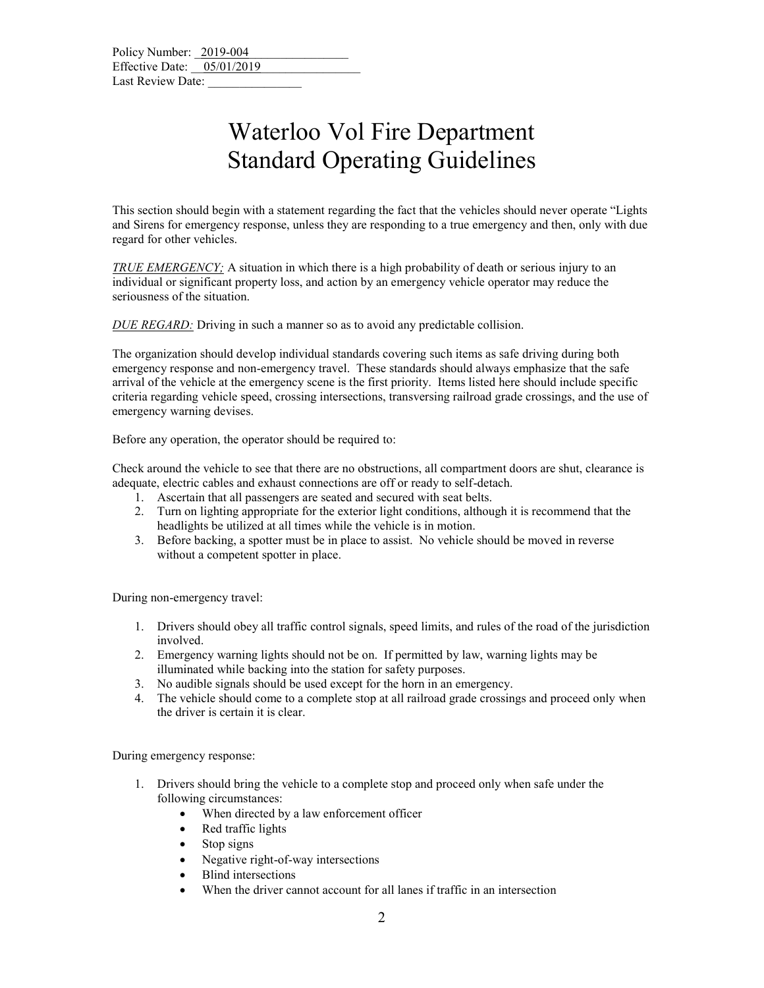This section should begin with a statement regarding the fact that the vehicles should never operate "Lights and Sirens for emergency response, unless they are responding to a true emergency and then, only with due regard for other vehicles.

*TRUE EMERGENCY;* A situation in which there is a high probability of death or serious injury to an individual or significant property loss, and action by an emergency vehicle operator may reduce the seriousness of the situation.

*DUE REGARD:* Driving in such a manner so as to avoid any predictable collision.

The organization should develop individual standards covering such items as safe driving during both emergency response and non-emergency travel. These standards should always emphasize that the safe arrival of the vehicle at the emergency scene is the first priority. Items listed here should include specific criteria regarding vehicle speed, crossing intersections, transversing railroad grade crossings, and the use of emergency warning devises.

Before any operation, the operator should be required to:

Check around the vehicle to see that there are no obstructions, all compartment doors are shut, clearance is adequate, electric cables and exhaust connections are off or ready to self-detach.

- 1. Ascertain that all passengers are seated and secured with seat belts.
- 2. Turn on lighting appropriate for the exterior light conditions, although it is recommend that the headlights be utilized at all times while the vehicle is in motion.
- 3. Before backing, a spotter must be in place to assist. No vehicle should be moved in reverse without a competent spotter in place.

During non-emergency travel:

- 1. Drivers should obey all traffic control signals, speed limits, and rules of the road of the jurisdiction involved.
- 2. Emergency warning lights should not be on. If permitted by law, warning lights may be illuminated while backing into the station for safety purposes.
- 3. No audible signals should be used except for the horn in an emergency.
- 4. The vehicle should come to a complete stop at all railroad grade crossings and proceed only when the driver is certain it is clear.

During emergency response:

- 1. Drivers should bring the vehicle to a complete stop and proceed only when safe under the following circumstances:
	- When directed by a law enforcement officer
	- Red traffic lights
	- Stop signs
	- Negative right-of-way intersections
	- Blind intersections
	- When the driver cannot account for all lanes if traffic in an intersection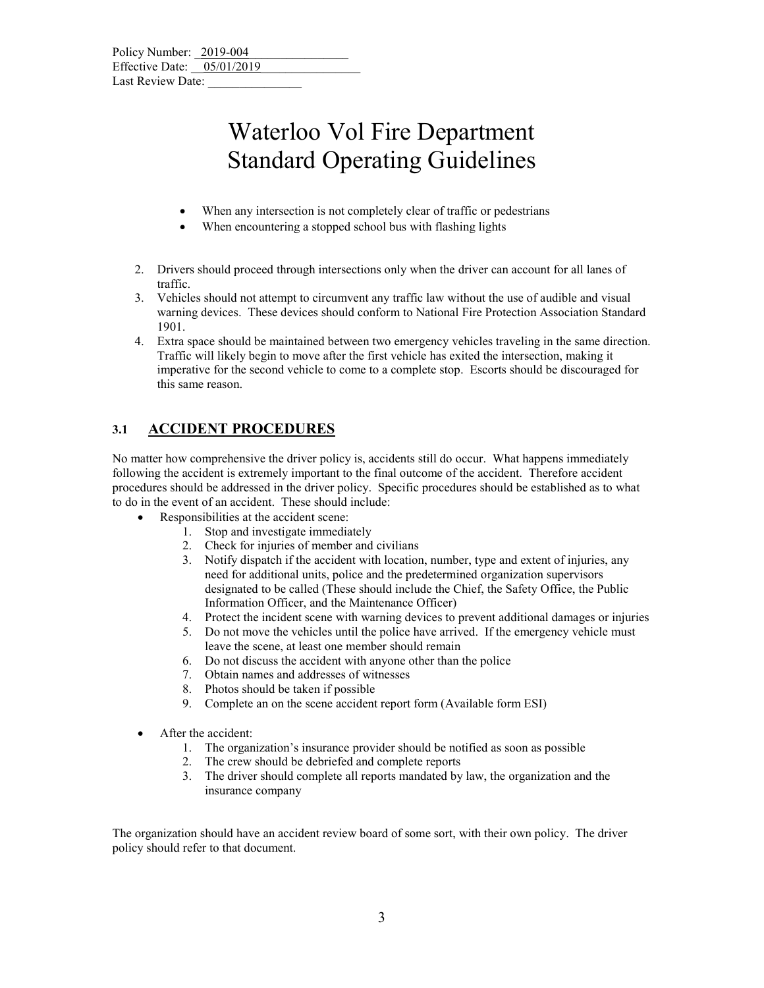- When any intersection is not completely clear of traffic or pedestrians
- When encountering a stopped school bus with flashing lights
- 2. Drivers should proceed through intersections only when the driver can account for all lanes of traffic.
- 3. Vehicles should not attempt to circumvent any traffic law without the use of audible and visual warning devices. These devices should conform to National Fire Protection Association Standard 1901.
- 4. Extra space should be maintained between two emergency vehicles traveling in the same direction. Traffic will likely begin to move after the first vehicle has exited the intersection, making it imperative for the second vehicle to come to a complete stop. Escorts should be discouraged for this same reason.

### **3.1 ACCIDENT PROCEDURES**

No matter how comprehensive the driver policy is, accidents still do occur. What happens immediately following the accident is extremely important to the final outcome of the accident. Therefore accident procedures should be addressed in the driver policy. Specific procedures should be established as to what to do in the event of an accident. These should include:

- Responsibilities at the accident scene:
	- 1. Stop and investigate immediately
	- 2. Check for injuries of member and civilians
	- 3. Notify dispatch if the accident with location, number, type and extent of injuries, any need for additional units, police and the predetermined organization supervisors designated to be called (These should include the Chief, the Safety Office, the Public Information Officer, and the Maintenance Officer)
	- 4. Protect the incident scene with warning devices to prevent additional damages or injuries
	- 5. Do not move the vehicles until the police have arrived. If the emergency vehicle must leave the scene, at least one member should remain
	- 6. Do not discuss the accident with anyone other than the police
	- 7. Obtain names and addresses of witnesses
	- 8. Photos should be taken if possible
	- 9. Complete an on the scene accident report form (Available form ESI)
- After the accident:
	- 1. The organization's insurance provider should be notified as soon as possible
	- 2. The crew should be debriefed and complete reports
	- 3. The driver should complete all reports mandated by law, the organization and the insurance company

The organization should have an accident review board of some sort, with their own policy. The driver policy should refer to that document.